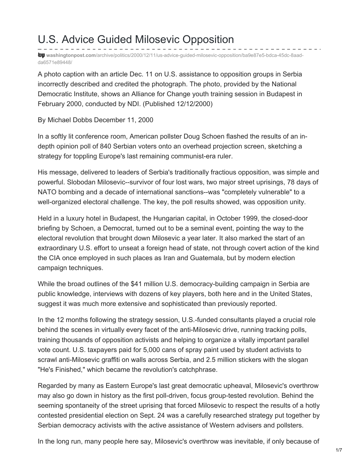## U.S. Advice Guided Milosevic Opposition

**washingtonpost.com**[/archive/politics/2000/12/11/us-advice-guided-milosevic-opposition/ba9e87e5-bdca-45dc-8aad](https://www.washingtonpost.com/archive/politics/2000/12/11/us-advice-guided-milosevic-opposition/ba9e87e5-bdca-45dc-8aad-da6571e89448/)da6571e89448/

A photo caption with an article Dec. 11 on U.S. assistance to opposition groups in Serbia incorrectly described and credited the photograph. The photo, provided by the National Democratic Institute, shows an Alliance for Change youth training session in Budapest in February 2000, conducted by NDI. (Published 12/12/2000)

By Michael Dobbs December 11, 2000

In a softly lit conference room, American pollster Doug Schoen flashed the results of an indepth opinion poll of 840 Serbian voters onto an overhead projection screen, sketching a strategy for toppling Europe's last remaining communist-era ruler.

His message, delivered to leaders of Serbia's traditionally fractious opposition, was simple and powerful. Slobodan Milosevic--survivor of four lost wars, two major street uprisings, 78 days of NATO bombing and a decade of international sanctions--was "completely vulnerable" to a well-organized electoral challenge. The key, the poll results showed, was opposition unity.

Held in a luxury hotel in Budapest, the Hungarian capital, in October 1999, the closed-door briefing by Schoen, a Democrat, turned out to be a seminal event, pointing the way to the electoral revolution that brought down Milosevic a year later. It also marked the start of an extraordinary U.S. effort to unseat a foreign head of state, not through covert action of the kind the CIA once employed in such places as Iran and Guatemala, but by modern election campaign techniques.

While the broad outlines of the \$41 million U.S. democracy-building campaign in Serbia are public knowledge, interviews with dozens of key players, both here and in the United States, suggest it was much more extensive and sophisticated than previously reported.

In the 12 months following the strategy session, U.S.-funded consultants played a crucial role behind the scenes in virtually every facet of the anti-Milosevic drive, running tracking polls, training thousands of opposition activists and helping to organize a vitally important parallel vote count. U.S. taxpayers paid for 5,000 cans of spray paint used by student activists to scrawl anti-Milosevic graffiti on walls across Serbia, and 2.5 million stickers with the slogan "He's Finished," which became the revolution's catchphrase.

Regarded by many as Eastern Europe's last great democratic upheaval, Milosevic's overthrow may also go down in history as the first poll-driven, focus group-tested revolution. Behind the seeming spontaneity of the street uprising that forced Milosevic to respect the results of a hotly contested presidential election on Sept. 24 was a carefully researched strategy put together by Serbian democracy activists with the active assistance of Western advisers and pollsters.

In the long run, many people here say, Milosevic's overthrow was inevitable, if only because of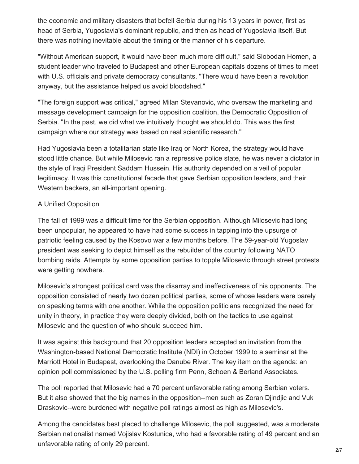the economic and military disasters that befell Serbia during his 13 years in power, first as head of Serbia, Yugoslavia's dominant republic, and then as head of Yugoslavia itself. But there was nothing inevitable about the timing or the manner of his departure.

"Without American support, it would have been much more difficult," said Slobodan Homen, a student leader who traveled to Budapest and other European capitals dozens of times to meet with U.S. officials and private democracy consultants. "There would have been a revolution anyway, but the assistance helped us avoid bloodshed."

"The foreign support was critical," agreed Milan Stevanovic, who oversaw the marketing and message development campaign for the opposition coalition, the Democratic Opposition of Serbia. "In the past, we did what we intuitively thought we should do. This was the first campaign where our strategy was based on real scientific research."

Had Yugoslavia been a totalitarian state like Iraq or North Korea, the strategy would have stood little chance. But while Milosevic ran a repressive police state, he was never a dictator in the style of Iraqi President Saddam Hussein. His authority depended on a veil of popular legitimacy. It was this constitutional facade that gave Serbian opposition leaders, and their Western backers, an all-important opening.

## A Unified Opposition

The fall of 1999 was a difficult time for the Serbian opposition. Although Milosevic had long been unpopular, he appeared to have had some success in tapping into the upsurge of patriotic feeling caused by the Kosovo war a few months before. The 59-year-old Yugoslav president was seeking to depict himself as the rebuilder of the country following NATO bombing raids. Attempts by some opposition parties to topple Milosevic through street protests were getting nowhere.

Milosevic's strongest political card was the disarray and ineffectiveness of his opponents. The opposition consisted of nearly two dozen political parties, some of whose leaders were barely on speaking terms with one another. While the opposition politicians recognized the need for unity in theory, in practice they were deeply divided, both on the tactics to use against Milosevic and the question of who should succeed him.

It was against this background that 20 opposition leaders accepted an invitation from the Washington-based National Democratic Institute (NDI) in October 1999 to a seminar at the Marriott Hotel in Budapest, overlooking the Danube River. The key item on the agenda: an opinion poll commissioned by the U.S. polling firm Penn, Schoen & Berland Associates.

The poll reported that Milosevic had a 70 percent unfavorable rating among Serbian voters. But it also showed that the big names in the opposition--men such as Zoran Djindjic and Vuk Draskovic--were burdened with negative poll ratings almost as high as Milosevic's.

Among the candidates best placed to challenge Milosevic, the poll suggested, was a moderate Serbian nationalist named Vojislav Kostunica, who had a favorable rating of 49 percent and an unfavorable rating of only 29 percent.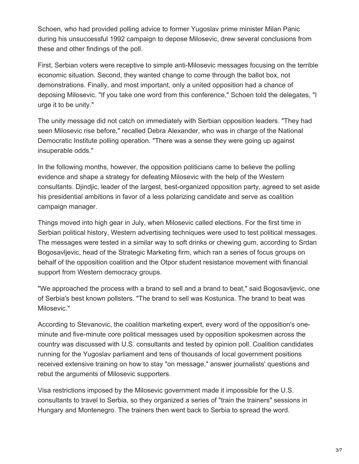Schoen, who had provided polling advice to former Yugoslav prime minister Milan Panic during his unsuccessful 1992 campaign to depose Milosevic, drew several conclusions from these and other findings of the poll.

First, Serbian voters were receptive to simple anti-Milosevic messages focusing on the terrible economic situation. Second, they wanted change to come through the ballot box, not demonstrations. Finally, and most important, only a united opposition had a chance of deposing Milosevic. "If you take one word from this conference," Schoen told the delegates, "I urge it to be unity."

The unity message did not catch on immediately with Serbian opposition leaders. "They had seen Milosevic rise before," recalled Debra Alexander, who was in charge of the National Democratic Institute polling operation. "There was a sense they were going up against insuperable odds."

In the following months, however, the opposition politicians came to believe the polling evidence and shape a strategy for defeating Milosevic with the help of the Western consultants. Djindjic, leader of the largest, best-organized opposition party, agreed to set aside his presidential ambitions in favor of a less polarizing candidate and serve as coalition campaign manager.

Things moved into high gear in July, when Milosevic called elections. For the first time in Serbian political history, Western advertising techniques were used to test political messages. The messages were tested in a similar way to soft drinks or chewing gum, according to Srdan Bogosavljevic, head of the Strategic Marketing firm, which ran a series of focus groups on behalf of the opposition coalition and the Otpor student resistance movement with financial support from Western democracy groups.

"We approached the process with a brand to sell and a brand to beat," said Bogosavljevic, one of Serbia's best known pollsters. "The brand to sell was Kostunica. The brand to beat was Milosevic."

According to Stevanovic, the coalition marketing expert, every word of the opposition's oneminute and five-minute core political messages used by opposition spokesmen across the country was discussed with U.S. consultants and tested by opinion poll. Coalition candidates running for the Yugoslav parliament and tens of thousands of local government positions received extensive training on how to stay "on message," answer journalists' questions and rebut the arguments of Milosevic supporters.

Visa restrictions imposed by the Milosevic government made it impossible for the U.S. consultants to travel to Serbia, so they organized a series of "train the trainers" sessions in Hungary and Montenegro. The trainers then went back to Serbia to spread the word.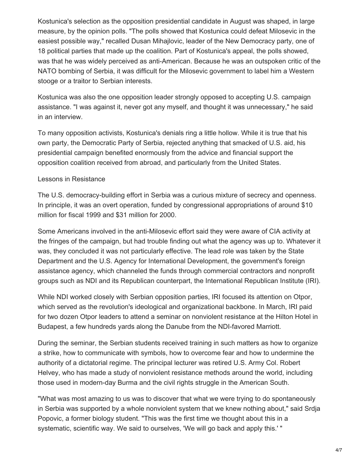Kostunica's selection as the opposition presidential candidate in August was shaped, in large measure, by the opinion polls. "The polls showed that Kostunica could defeat Milosevic in the easiest possible way," recalled Dusan Mihajlovic, leader of the New Democracy party, one of 18 political parties that made up the coalition. Part of Kostunica's appeal, the polls showed, was that he was widely perceived as anti-American. Because he was an outspoken critic of the NATO bombing of Serbia, it was difficult for the Milosevic government to label him a Western stooge or a traitor to Serbian interests.

Kostunica was also the one opposition leader strongly opposed to accepting U.S. campaign assistance. "I was against it, never got any myself, and thought it was unnecessary," he said in an interview.

To many opposition activists, Kostunica's denials ring a little hollow. While it is true that his own party, the Democratic Party of Serbia, rejected anything that smacked of U.S. aid, his presidential campaign benefited enormously from the advice and financial support the opposition coalition received from abroad, and particularly from the United States.

## Lessons in Resistance

The U.S. democracy-building effort in Serbia was a curious mixture of secrecy and openness. In principle, it was an overt operation, funded by congressional appropriations of around \$10 million for fiscal 1999 and \$31 million for 2000.

Some Americans involved in the anti-Milosevic effort said they were aware of CIA activity at the fringes of the campaign, but had trouble finding out what the agency was up to. Whatever it was, they concluded it was not particularly effective. The lead role was taken by the State Department and the U.S. Agency for International Development, the government's foreign assistance agency, which channeled the funds through commercial contractors and nonprofit groups such as NDI and its Republican counterpart, the International Republican Institute (IRI).

While NDI worked closely with Serbian opposition parties, IRI focused its attention on Otpor, which served as the revolution's ideological and organizational backbone. In March, IRI paid for two dozen Otpor leaders to attend a seminar on nonviolent resistance at the Hilton Hotel in Budapest, a few hundreds yards along the Danube from the NDI-favored Marriott.

During the seminar, the Serbian students received training in such matters as how to organize a strike, how to communicate with symbols, how to overcome fear and how to undermine the authority of a dictatorial regime. The principal lecturer was retired U.S. Army Col. Robert Helvey, who has made a study of nonviolent resistance methods around the world, including those used in modern-day Burma and the civil rights struggle in the American South.

"What was most amazing to us was to discover that what we were trying to do spontaneously in Serbia was supported by a whole nonviolent system that we knew nothing about," said Srdja Popovic, a former biology student. "This was the first time we thought about this in a systematic, scientific way. We said to ourselves, 'We will go back and apply this.' "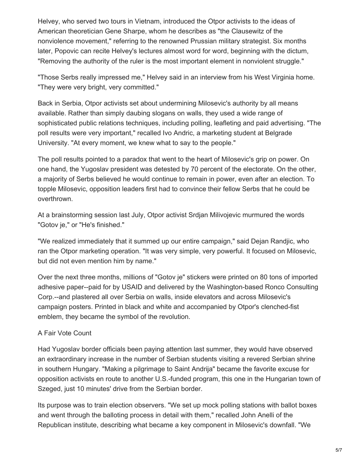Helvey, who served two tours in Vietnam, introduced the Otpor activists to the ideas of American theoretician Gene Sharpe, whom he describes as "the Clausewitz of the nonviolence movement," referring to the renowned Prussian military strategist. Six months later, Popovic can recite Helvey's lectures almost word for word, beginning with the dictum, "Removing the authority of the ruler is the most important element in nonviolent struggle."

"Those Serbs really impressed me," Helvey said in an interview from his West Virginia home. "They were very bright, very committed."

Back in Serbia, Otpor activists set about undermining Milosevic's authority by all means available. Rather than simply daubing slogans on walls, they used a wide range of sophisticated public relations techniques, including polling, leafleting and paid advertising. "The poll results were very important," recalled Ivo Andric, a marketing student at Belgrade University. "At every moment, we knew what to say to the people."

The poll results pointed to a paradox that went to the heart of Milosevic's grip on power. On one hand, the Yugoslav president was detested by 70 percent of the electorate. On the other, a majority of Serbs believed he would continue to remain in power, even after an election. To topple Milosevic, opposition leaders first had to convince their fellow Serbs that he could be overthrown.

At a brainstorming session last July, Otpor activist Srdjan Milivojevic murmured the words "Gotov je," or "He's finished."

"We realized immediately that it summed up our entire campaign," said Dejan Randjic, who ran the Otpor marketing operation. "It was very simple, very powerful. It focused on Milosevic, but did not even mention him by name."

Over the next three months, millions of "Gotov je" stickers were printed on 80 tons of imported adhesive paper--paid for by USAID and delivered by the Washington-based Ronco Consulting Corp.--and plastered all over Serbia on walls, inside elevators and across Milosevic's campaign posters. Printed in black and white and accompanied by Otpor's clenched-fist emblem, they became the symbol of the revolution.

## A Fair Vote Count

Had Yugoslav border officials been paying attention last summer, they would have observed an extraordinary increase in the number of Serbian students visiting a revered Serbian shrine in southern Hungary. "Making a pilgrimage to Saint Andrija" became the favorite excuse for opposition activists en route to another U.S.-funded program, this one in the Hungarian town of Szeged, just 10 minutes' drive from the Serbian border.

Its purpose was to train election observers. "We set up mock polling stations with ballot boxes and went through the balloting process in detail with them," recalled John Anelli of the Republican institute, describing what became a key component in Milosevic's downfall. "We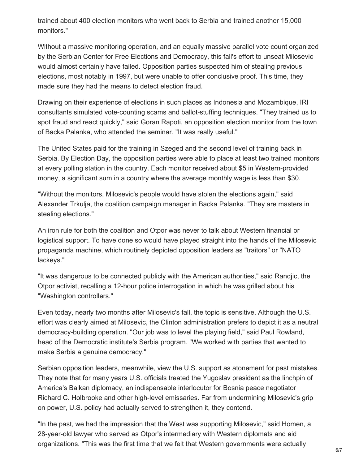trained about 400 election monitors who went back to Serbia and trained another 15,000 monitors."

Without a massive monitoring operation, and an equally massive parallel vote count organized by the Serbian Center for Free Elections and Democracy, this fall's effort to unseat Milosevic would almost certainly have failed. Opposition parties suspected him of stealing previous elections, most notably in 1997, but were unable to offer conclusive proof. This time, they made sure they had the means to detect election fraud.

Drawing on their experience of elections in such places as Indonesia and Mozambique, IRI consultants simulated vote-counting scams and ballot-stuffing techniques. "They trained us to spot fraud and react quickly," said Goran Rapoti, an opposition election monitor from the town of Backa Palanka, who attended the seminar. "It was really useful."

The United States paid for the training in Szeged and the second level of training back in Serbia. By Election Day, the opposition parties were able to place at least two trained monitors at every polling station in the country. Each monitor received about \$5 in Western-provided money, a significant sum in a country where the average monthly wage is less than \$30.

"Without the monitors, Milosevic's people would have stolen the elections again," said Alexander Trkulja, the coalition campaign manager in Backa Palanka. "They are masters in stealing elections."

An iron rule for both the coalition and Otpor was never to talk about Western financial or logistical support. To have done so would have played straight into the hands of the Milosevic propaganda machine, which routinely depicted opposition leaders as "traitors" or "NATO lackeys."

"It was dangerous to be connected publicly with the American authorities," said Randjic, the Otpor activist, recalling a 12-hour police interrogation in which he was grilled about his "Washington controllers."

Even today, nearly two months after Milosevic's fall, the topic is sensitive. Although the U.S. effort was clearly aimed at Milosevic, the Clinton administration prefers to depict it as a neutral democracy-building operation. "Our job was to level the playing field," said Paul Rowland, head of the Democratic institute's Serbia program. "We worked with parties that wanted to make Serbia a genuine democracy."

Serbian opposition leaders, meanwhile, view the U.S. support as atonement for past mistakes. They note that for many years U.S. officials treated the Yugoslav president as the linchpin of America's Balkan diplomacy, an indispensable interlocutor for Bosnia peace negotiator Richard C. Holbrooke and other high-level emissaries. Far from undermining Milosevic's grip on power, U.S. policy had actually served to strengthen it, they contend.

"In the past, we had the impression that the West was supporting Milosevic," said Homen, a 28-year-old lawyer who served as Otpor's intermediary with Western diplomats and aid organizations. "This was the first time that we felt that Western governments were actually